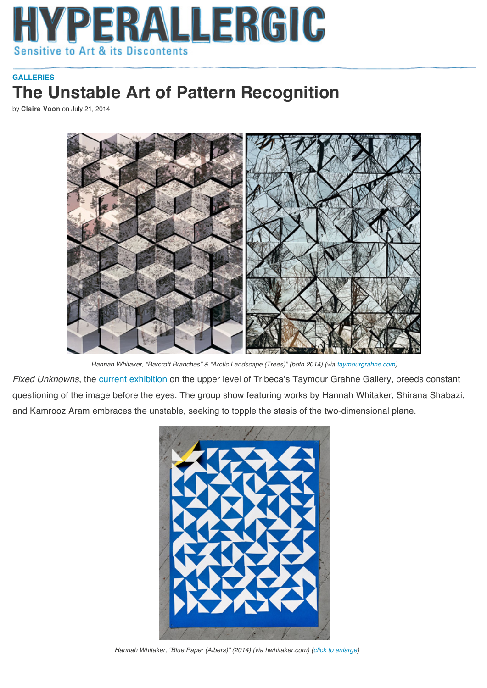

## **GALLERIES The Unstable Art of Pattern Recognition**

• by **Claire Voon** on July 21, 2014



*Hannah Whitaker, "Barcroft Branches" & "Arctic Landscape (Trees)" (both 2014) (via taymourgrahne.com)*

*Fixed Unknowns*, the **current exhibition** on the upper level of Tribeca's Taymour Grahne Gallery, breeds constant questioning of the image before the eyes. The group show featuring works by Hannah Whitaker, Shirana Shabazi, and Kamrooz Aram embraces the unstable, seeking to topple the stasis of the two-dimensional plane.



*Hannah Whitaker, "Blue Paper (Albers)" (2014) (via hwhitaker.com) (click to enlarge)*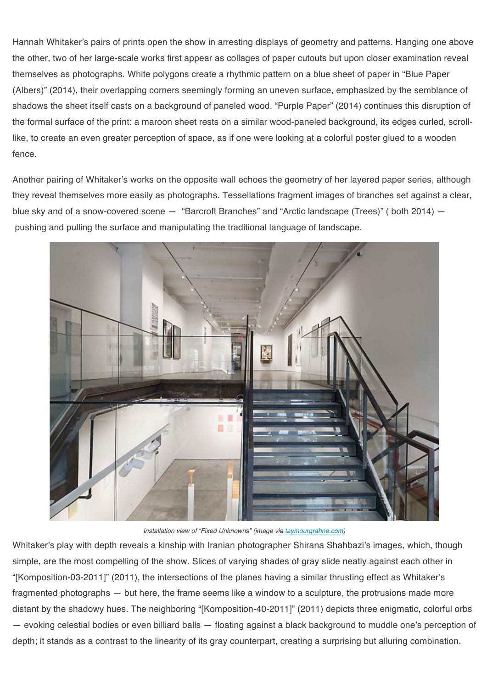Hannah Whitaker's pairs of prints open the show in arresting displays of geometry and patterns. Hanging one above the other, two of her large-scale works first appear as collages of paper cutouts but upon closer examination reveal themselves as photographs. White polygons create a rhythmic pattern on a blue sheet of paper in "Blue Paper (Albers)" (2014), their overlapping corners seemingly forming an uneven surface, emphasized by the semblance of shadows the sheet itself casts on a background of paneled wood. "Purple Paper" (2014) continues this disruption of the formal surface of the print: a maroon sheet rests on a similar wood-paneled background, its edges curled, scrolllike, to create an even greater perception of space, as if one were looking at a colorful poster glued to a wooden fence.

Another pairing of Whitaker's works on the opposite wall echoes the geometry of her layered paper series, although they reveal themselves more easily as photographs. Tessellations fragment images of branches set against a clear, blue sky and of a snow-covered scene — "Barcroft Branches" and "Arctic landscape (Trees)" ( both 2014) pushing and pulling the surface and manipulating the traditional language of landscape.



*Installation view of "Fixed Unknowns" (image via taymourgrahne.com)*

Whitaker's play with depth reveals a kinship with Iranian photographer Shirana Shahbazi's images, which, though simple, are the most compelling of the show. Slices of varying shades of gray slide neatly against each other in "[Komposition-03-2011]" (2011), the intersections of the planes having a similar thrusting effect as Whitaker's fragmented photographs — but here, the frame seems like a window to a sculpture, the protrusions made more distant by the shadowy hues. The neighboring "[Komposition-40-2011]" (2011) depicts three enigmatic, colorful orbs — evoking celestial bodies or even billiard balls — floating against a black background to muddle one's perception of depth; it stands as a contrast to the linearity of its gray counterpart, creating a surprising but alluring combination.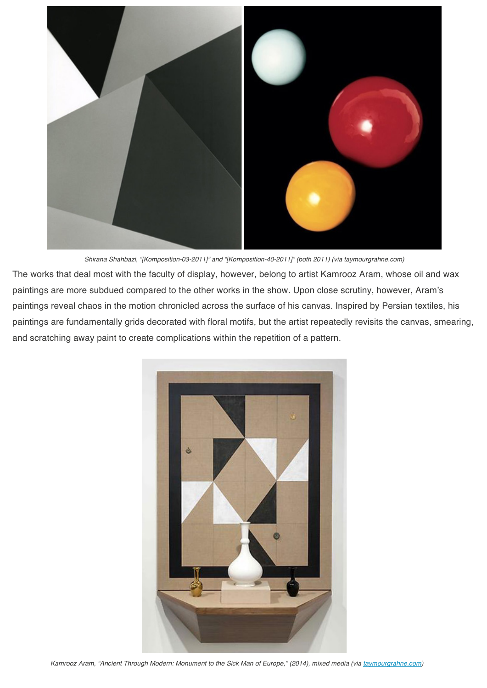

*Shirana Shahbazi, "[Komposition-03-2011]" and "[Komposition-40-2011]" (both 2011) (via taymourgrahne.com)*

The works that deal most with the faculty of display, however, belong to artist Kamrooz Aram, whose oil and wax paintings are more subdued compared to the other works in the show. Upon close scrutiny, however, Aram's paintings reveal chaos in the motion chronicled across the surface of his canvas. Inspired by Persian textiles, his paintings are fundamentally grids decorated with floral motifs, but the artist repeatedly revisits the canvas, smearing, and scratching away paint to create complications within the repetition of a pattern.



*Kamrooz Aram, "Ancient Through Modern: Monument to the Sick Man of Europe," (2014), mixed media (via taymourgrahne.com)*